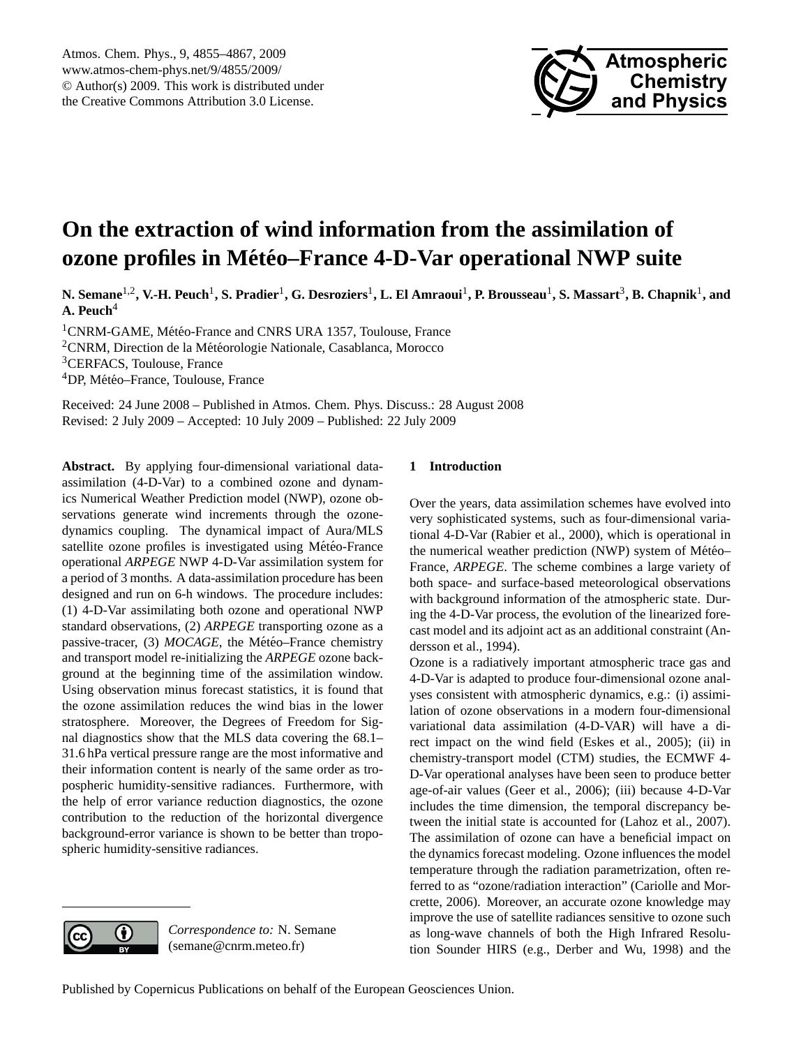

# <span id="page-0-0"></span>**On the extraction of wind information from the assimilation of ozone profiles in Météo–France 4-D-Var operational NWP suite**

**N. Semane**1,2**, V.-H. Peuch**<sup>1</sup> **, S. Pradier**<sup>1</sup> **, G. Desroziers**<sup>1</sup> **, L. El Amraoui**<sup>1</sup> **, P. Brousseau**<sup>1</sup> **, S. Massart**<sup>3</sup> **, B. Chapnik**<sup>1</sup> **, and A. Peuch**<sup>4</sup>

<sup>1</sup>CNRM-GAME, Météo-France and CNRS URA 1357, Toulouse, France  $2$ CNRM, Direction de la Météorologie Nationale, Casablanca, Morocco <sup>3</sup>CERFACS, Toulouse, France <sup>4</sup>DP, Météo-France, Toulouse, France

Received: 24 June 2008 – Published in Atmos. Chem. Phys. Discuss.: 28 August 2008 Revised: 2 July 2009 – Accepted: 10 July 2009 – Published: 22 July 2009

**Abstract.** By applying four-dimensional variational dataassimilation (4-D-Var) to a combined ozone and dynamics Numerical Weather Prediction model (NWP), ozone observations generate wind increments through the ozonedynamics coupling. The dynamical impact of Aura/MLS satellite ozone profiles is investigated using Météo-France operational *ARPEGE* NWP 4-D-Var assimilation system for a period of 3 months. A data-assimilation procedure has been designed and run on 6-h windows. The procedure includes: (1) 4-D-Var assimilating both ozone and operational NWP standard observations, (2) *ARPEGE* transporting ozone as a passive-tracer, (3) *MOCAGE*, the Météo–France chemistry and transport model re-initializing the *ARPEGE* ozone background at the beginning time of the assimilation window. Using observation minus forecast statistics, it is found that the ozone assimilation reduces the wind bias in the lower stratosphere. Moreover, the Degrees of Freedom for Signal diagnostics show that the MLS data covering the 68.1– 31.6 hPa vertical pressure range are the most informative and their information content is nearly of the same order as tropospheric humidity-sensitive radiances. Furthermore, with the help of error variance reduction diagnostics, the ozone contribution to the reduction of the horizontal divergence background-error variance is shown to be better than tropospheric humidity-sensitive radiances.

# **1 Introduction**

Over the years, data assimilation schemes have evolved into very sophisticated systems, such as four-dimensional variational 4-D-Var [\(Rabier et al.,](#page-12-0) [2000\)](#page-12-0), which is operational in the numerical weather prediction (NWP) system of Météo– France, *ARPEGE*. The scheme combines a large variety of both space- and surface-based meteorological observations with background information of the atmospheric state. During the 4-D-Var process, the evolution of the linearized forecast model and its adjoint act as an additional constraint [\(An](#page-11-0)[dersson et al.,](#page-11-0) [1994\)](#page-11-0).

Ozone is a radiatively important atmospheric trace gas and 4-D-Var is adapted to produce four-dimensional ozone analyses consistent with atmospheric dynamics, e.g.: (i) assimilation of ozone observations in a modern four-dimensional variational data assimilation (4-D-VAR) will have a direct impact on the wind field [\(Eskes et al.,](#page-11-1) [2005\)](#page-11-1); (ii) in chemistry-transport model (CTM) studies, the ECMWF 4- D-Var operational analyses have been seen to produce better age-of-air values [\(Geer et al.,](#page-12-1) [2006\)](#page-12-1); (iii) because 4-D-Var includes the time dimension, the temporal discrepancy between the initial state is accounted for [\(Lahoz et al.,](#page-12-2) [2007\)](#page-12-2). The assimilation of ozone can have a beneficial impact on the dynamics forecast modeling. Ozone influences the model temperature through the radiation parametrization, often referred to as "ozone/radiation interaction" [\(Cariolle and Mor](#page-11-2)[crette,](#page-11-2) [2006\)](#page-11-2). Moreover, an accurate ozone knowledge may improve the use of satellite radiances sensitive to ozone such as long-wave channels of both the High Infrared Resolution Sounder HIRS (e.g., [Derber and Wu,](#page-11-3) [1998\)](#page-11-3) and the



*Correspondence to:* N. Semane (semane@cnrm.meteo.fr)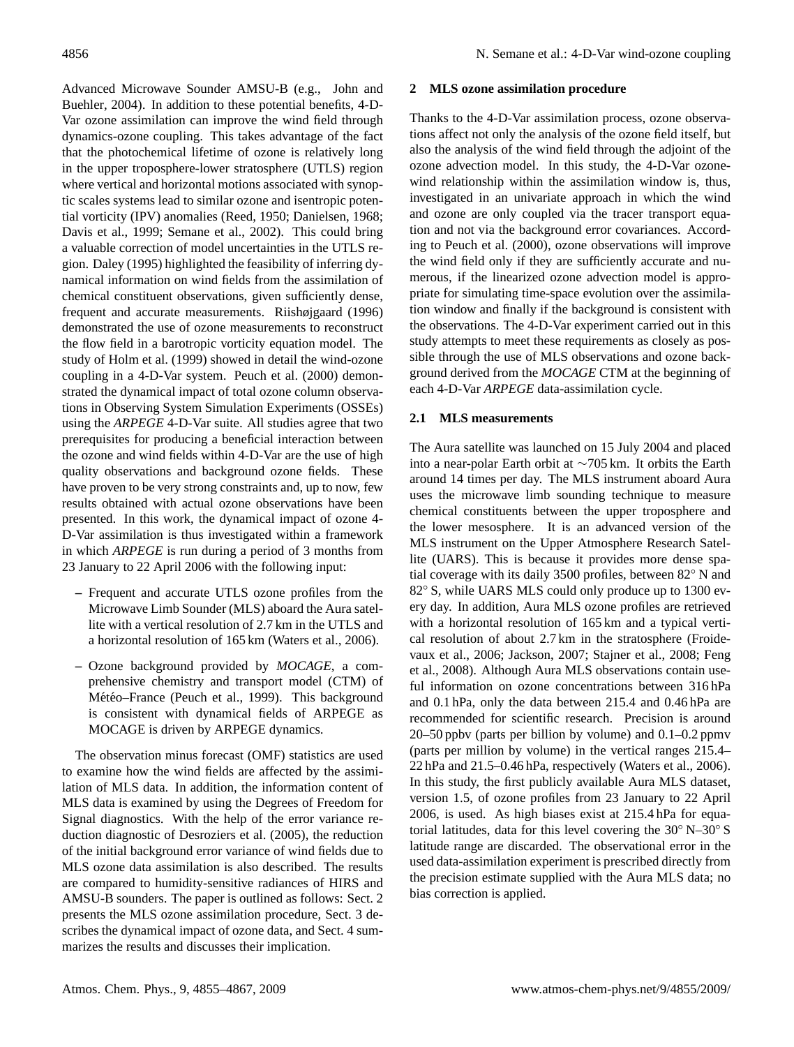Advanced Microwave Sounder AMSU-B (e.g., [John and](#page-12-3) [Buehler,](#page-12-3) [2004\)](#page-12-3). In addition to these potential benefits, 4-D-Var ozone assimilation can improve the wind field through dynamics-ozone coupling. This takes advantage of the fact that the photochemical lifetime of ozone is relatively long in the upper troposphere-lower stratosphere (UTLS) region where vertical and horizontal motions associated with synoptic scales systems lead to similar ozone and isentropic potential vorticity (IPV) anomalies [\(Reed,](#page-12-4) [1950;](#page-12-4) [Danielsen,](#page-11-4) [1968;](#page-11-4) [Davis et al.,](#page-11-5) [1999;](#page-11-5) [Semane et al.,](#page-12-5) [2002\)](#page-12-5). This could bring a valuable correction of model uncertainties in the UTLS region. [Daley](#page-11-6) [\(1995\)](#page-11-6) highlighted the feasibility of inferring dynamical information on wind fields from the assimilation of chemical constituent observations, given sufficiently dense, frequent and accurate measurements. [Riishøjgaard](#page-12-6) [\(1996\)](#page-12-6) demonstrated the use of ozone measurements to reconstruct the flow field in a barotropic vorticity equation model. The study of [Holm et al.](#page-12-7) [\(1999\)](#page-12-7) showed in detail the wind-ozone coupling in a 4-D-Var system. [Peuch et al.](#page-12-8) [\(2000\)](#page-12-8) demonstrated the dynamical impact of total ozone column observations in Observing System Simulation Experiments (OSSEs) using the *ARPEGE* 4-D-Var suite. All studies agree that two prerequisites for producing a beneficial interaction between the ozone and wind fields within 4-D-Var are the use of high quality observations and background ozone fields. These have proven to be very strong constraints and, up to now, few results obtained with actual ozone observations have been presented. In this work, the dynamical impact of ozone 4- D-Var assimilation is thus investigated within a framework in which *ARPEGE* is run during a period of 3 months from 23 January to 22 April 2006 with the following input:

- **–** Frequent and accurate UTLS ozone profiles from the Microwave Limb Sounder (MLS) aboard the Aura satellite with a vertical resolution of 2.7 km in the UTLS and a horizontal resolution of 165 km [\(Waters et al.,](#page-12-9) [2006\)](#page-12-9).
- **–** Ozone background provided by *MOCAGE*, a comprehensive chemistry and transport model (CTM) of Météo–France ([Peuch et al.,](#page-12-10) [1999\)](#page-12-10). This background is consistent with dynamical fields of ARPEGE as MOCAGE is driven by ARPEGE dynamics.

The observation minus forecast (OMF) statistics are used to examine how the wind fields are affected by the assimilation of MLS data. In addition, the information content of MLS data is examined by using the Degrees of Freedom for Signal diagnostics. With the help of the error variance reduction diagnostic of [Desroziers et al.](#page-11-7) [\(2005\)](#page-11-7), the reduction of the initial background error variance of wind fields due to MLS ozone data assimilation is also described. The results are compared to humidity-sensitive radiances of HIRS and AMSU-B sounders. The paper is outlined as follows: Sect. 2 presents the MLS ozone assimilation procedure, Sect. 3 describes the dynamical impact of ozone data, and Sect. 4 summarizes the results and discusses their implication.

## **2 MLS ozone assimilation procedure**

Thanks to the 4-D-Var assimilation process, ozone observations affect not only the analysis of the ozone field itself, but also the analysis of the wind field through the adjoint of the ozone advection model. In this study, the 4-D-Var ozonewind relationship within the assimilation window is, thus, investigated in an univariate approach in which the wind and ozone are only coupled via the tracer transport equation and not via the background error covariances. According to [Peuch et al.](#page-12-8) [\(2000\)](#page-12-8), ozone observations will improve the wind field only if they are sufficiently accurate and numerous, if the linearized ozone advection model is appropriate for simulating time-space evolution over the assimilation window and finally if the background is consistent with the observations. The 4-D-Var experiment carried out in this study attempts to meet these requirements as closely as possible through the use of MLS observations and ozone background derived from the *MOCAGE* CTM at the beginning of each 4-D-Var *ARPEGE* data-assimilation cycle.

## **2.1 MLS measurements**

The Aura satellite was launched on 15 July 2004 and placed into a near-polar Earth orbit at ∼705 km. It orbits the Earth around 14 times per day. The MLS instrument aboard Aura uses the microwave limb sounding technique to measure chemical constituents between the upper troposphere and the lower mesosphere. It is an advanced version of the MLS instrument on the Upper Atmosphere Research Satellite (UARS). This is because it provides more dense spatial coverage with its daily 3500 profiles, between 82◦ N and 82<sup>°</sup> S, while UARS MLS could only produce up to 1300 every day. In addition, Aura MLS ozone profiles are retrieved with a horizontal resolution of 165 km and a typical vertical resolution of about 2.7 km in the stratosphere [\(Froide](#page-11-8)[vaux et al.,](#page-11-8) [2006;](#page-11-8) [Jackson,](#page-12-11) [2007;](#page-12-11) [Stajner et al.,](#page-12-12) [2008;](#page-12-12) [Feng](#page-11-9) [et al.,](#page-11-9) [2008\)](#page-11-9). Although Aura MLS observations contain useful information on ozone concentrations between 316 hPa and 0.1 hPa, only the data between 215.4 and 0.46 hPa are recommended for scientific research. Precision is around 20–50 ppbv (parts per billion by volume) and 0.1–0.2 ppmv (parts per million by volume) in the vertical ranges 215.4– 22 hPa and 21.5–0.46 hPa, respectively (Waters et al., 2006). In this study, the first publicly available Aura MLS dataset, version 1.5, of ozone profiles from 23 January to 22 April 2006, is used. As high biases exist at 215.4 hPa for equatorial latitudes, data for this level covering the 30◦ N–30◦ S latitude range are discarded. The observational error in the used data-assimilation experiment is prescribed directly from the precision estimate supplied with the Aura MLS data; no bias correction is applied.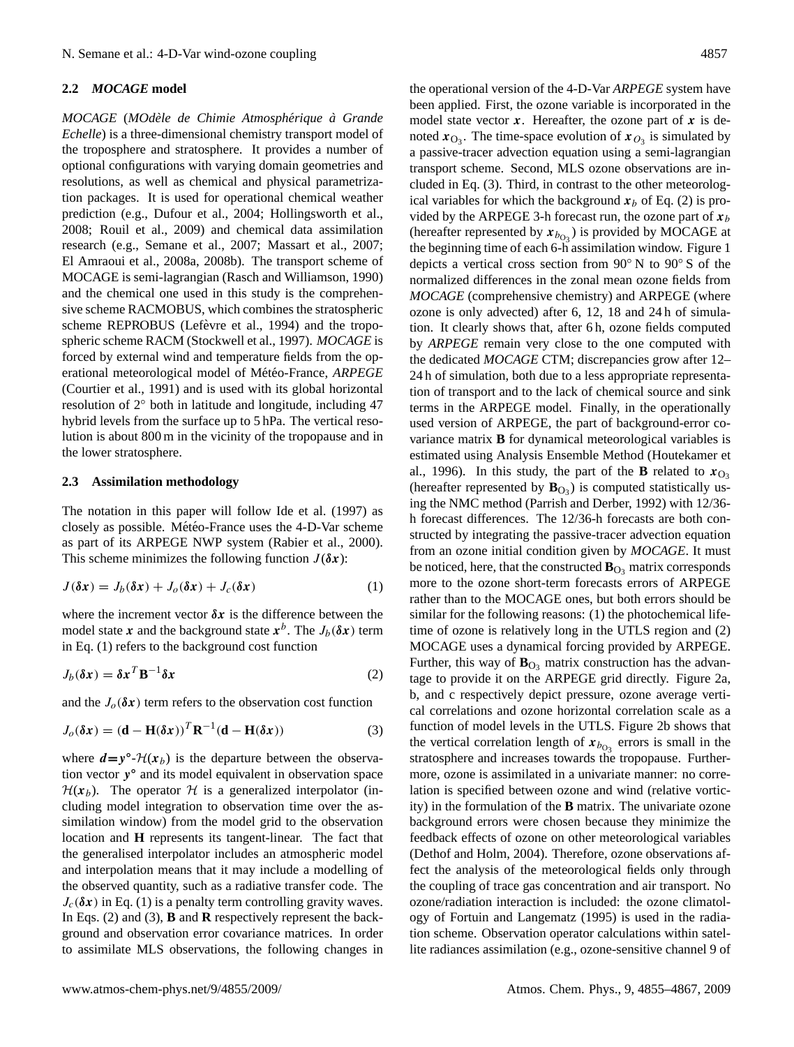## **2.2** *MOCAGE* **model**

*MOCAGE* (*MOdèle de Chimie Atmosphérique à Grande Echelle*) is a three-dimensional chemistry transport model of the troposphere and stratosphere. It provides a number of optional configurations with varying domain geometries and resolutions, as well as chemical and physical parametrization packages. It is used for operational chemical weather prediction (e.g., [Dufour et al.,](#page-11-10) [2004;](#page-11-10) [Hollingsworth et al.,](#page-12-13) [2008;](#page-12-13) [Rouil et al.,](#page-12-14) [2009\)](#page-12-14) and chemical data assimilation research (e.g., [Semane et al.,](#page-12-15) [2007;](#page-12-15) [Massart et al.,](#page-12-16) [2007;](#page-12-16) [El Amraoui et al.,](#page-11-11) [2008a,](#page-11-11) [2008b\)](#page-11-12). The transport scheme of MOCAGE is semi-lagrangian (Rasch and Williamson, 1990) and the chemical one used in this study is the comprehensive scheme RACMOBUS, which combines the stratospheric scheme REPROBUS (Lefèvre et al., [1994\)](#page-12-17) and the tropospheric scheme RACM [\(Stockwell et al.,](#page-12-18) [1997\)](#page-12-18). *MOCAGE* is forced by external wind and temperature fields from the operational meteorological model of Météo-France, *ARPEGE* [\(Courtier et al.,](#page-11-13) [1991\)](#page-11-13) and is used with its global horizontal resolution of 2◦ both in latitude and longitude, including 47 hybrid levels from the surface up to 5 hPa. The vertical resolution is about 800 m in the vicinity of the tropopause and in the lower stratosphere.

#### **2.3 Assimilation methodology**

The notation in this paper will follow Ide et al. (1997) as closely as possible. Météo-France uses the 4-D-Var scheme as part of its ARPEGE NWP system (Rabier et al., 2000). This scheme minimizes the following function  $J(\delta x)$ :

$$
J(\delta x) = J_b(\delta x) + J_o(\delta x) + J_c(\delta x)
$$
 (1)

where the increment vector  $\delta x$  is the difference between the model state x and the background state  $x^b$ . The  $J_b(\delta x)$  term in Eq. (1) refers to the background cost function

$$
J_b(\delta x) = \delta x^T \mathbf{B}^{-1} \delta x \tag{2}
$$

and the  $J<sub>o</sub>(\delta x)$  term refers to the observation cost function

$$
J_o(\delta x) = (\mathbf{d} - \mathbf{H}(\delta x))^T \mathbf{R}^{-1} (\mathbf{d} - \mathbf{H}(\delta x))
$$
 (3)

where  $d = y^{\circ}$ - $\mathcal{H}(x_b)$  is the departure between the observation vector y° and its model equivalent in observation space  $\mathcal{H}(x_b)$ . The operator  $\mathcal H$  is a generalized interpolator (including model integration to observation time over the assimilation window) from the model grid to the observation location and **H** represents its tangent-linear. The fact that the generalised interpolator includes an atmospheric model and interpolation means that it may include a modelling of the observed quantity, such as a radiative transfer code. The  $J_c(\delta x)$  in Eq. (1) is a penalty term controlling gravity waves. In Eqs. (2) and (3), **B** and **R** respectively represent the background and observation error covariance matrices. In order to assimilate MLS observations, the following changes in the operational version of the 4-D-Var *ARPEGE* system have been applied. First, the ozone variable is incorporated in the model state vector  $x$ . Hereafter, the ozone part of  $x$  is denoted  $x_{\text{O}_3}$ . The time-space evolution of  $x_{\text{O}_3}$  is simulated by a passive-tracer advection equation using a semi-lagrangian transport scheme. Second, MLS ozone observations are included in Eq. (3). Third, in contrast to the other meteorological variables for which the background  $x_b$  of Eq. (2) is provided by the ARPEGE 3-h forecast run, the ozone part of  $x_b$ (hereafter represented by  $x_{b_{\text{O}_3}}$ ) is provided by MOCAGE at the beginning time of each 6-h assimilation window. Figure 1 depicts a vertical cross section from 90◦ N to 90◦ S of the normalized differences in the zonal mean ozone fields from *MOCAGE* (comprehensive chemistry) and ARPEGE (where ozone is only advected) after 6, 12, 18 and 24 h of simulation. It clearly shows that, after 6 h, ozone fields computed by *ARPEGE* remain very close to the one computed with the dedicated *MOCAGE* CTM; discrepancies grow after 12– 24 h of simulation, both due to a less appropriate representation of transport and to the lack of chemical source and sink terms in the ARPEGE model. Finally, in the operationally used version of ARPEGE, the part of background-error covariance matrix **B** for dynamical meteorological variables is estimated using Analysis Ensemble Method (Houtekamer et al., 1996). In this study, the part of the **B** related to  $x_{O_3}$ (hereafter represented by  $\mathbf{B}_{\text{O}_3}$ ) is computed statistically using the NMC method (Parrish and Derber, 1992) with 12/36 h forecast differences. The 12/36-h forecasts are both constructed by integrating the passive-tracer advection equation from an ozone initial condition given by *MOCAGE*. It must be noticed, here, that the constructed  $\mathbf{B}_{\text{O}_3}$  matrix corresponds more to the ozone short-term forecasts errors of ARPEGE rather than to the MOCAGE ones, but both errors should be similar for the following reasons: (1) the photochemical lifetime of ozone is relatively long in the UTLS region and (2) MOCAGE uses a dynamical forcing provided by ARPEGE. Further, this way of  $\mathbf{B}_{\text{O}_3}$  matrix construction has the advantage to provide it on the ARPEGE grid directly. Figure 2a, b, and c respectively depict pressure, ozone average vertical correlations and ozone horizontal correlation scale as a function of model levels in the UTLS. Figure 2b shows that the vertical correlation length of  $x_{b_{03}}$  errors is small in the stratosphere and increases towards the tropopause. Furthermore, ozone is assimilated in a univariate manner: no correlation is specified between ozone and wind (relative vorticity) in the formulation of the **B** matrix. The univariate ozone background errors were chosen because they minimize the feedback effects of ozone on other meteorological variables [\(Dethof and Holm,](#page-11-14) [2004\)](#page-11-14). Therefore, ozone observations affect the analysis of the meteorological fields only through the coupling of trace gas concentration and air transport. No ozone/radiation interaction is included: the ozone climatology of [Fortuin and Langematz](#page-11-15) [\(1995\)](#page-11-15) is used in the radiation scheme. Observation operator calculations within satellite radiances assimilation (e.g., ozone-sensitive channel 9 of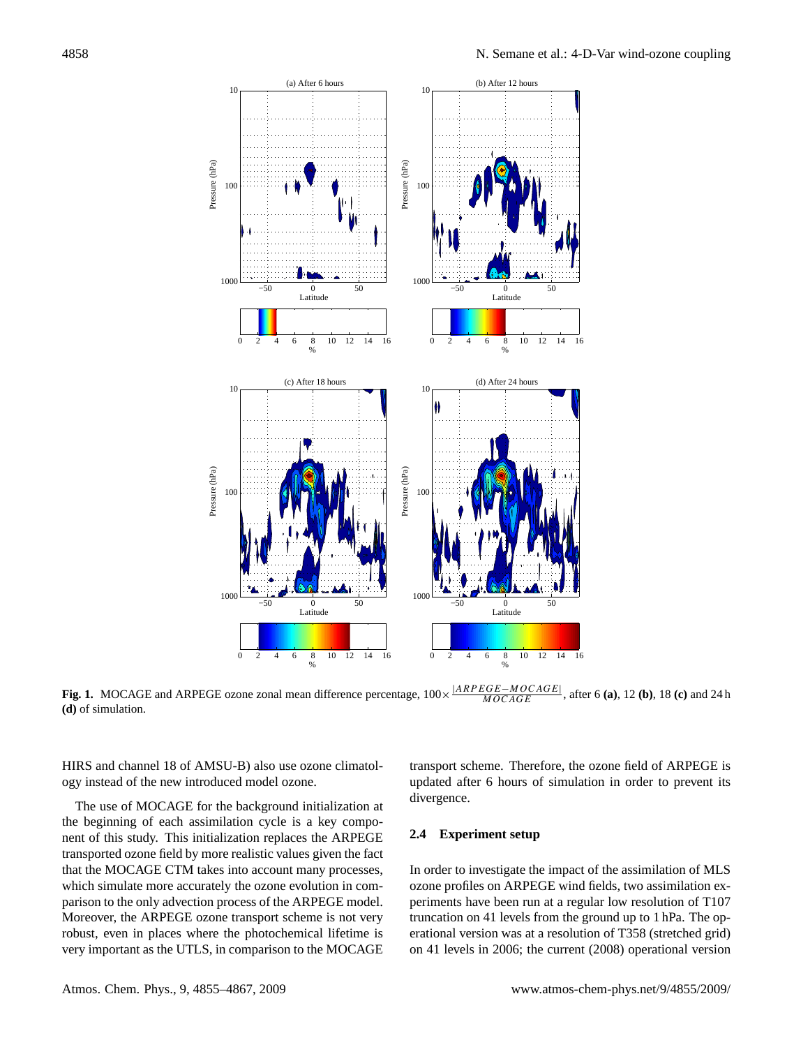

Fig. 1. MOCAGE and ARPEGE ozone zonal mean difference percentage,  $100 \times$ |ARP EGE−MOCAGE| MOCAGE , after 6 **(a)**, 12 **(b)**, 18 **(c)** and 24 h **(d)** of simulation.

HIRS and channel 18 of AMSU-B) also use ozone climatology instead of the new introduced model ozone.

The use of MOCAGE for the background initialization at the beginning of each assimilation cycle is a key component of this study. This initialization replaces the ARPEGE transported ozone field by more realistic values given the fact that the MOCAGE CTM takes into account many processes, which simulate more accurately the ozone evolution in comparison to the only advection process of the ARPEGE model. Moreover, the ARPEGE ozone transport scheme is not very robust, even in places where the photochemical lifetime is very important as the UTLS, in comparison to the MOCAGE transport scheme. Therefore, the ozone field of ARPEGE is updated after 6 hours of simulation in order to prevent its divergence.

# **2.4 Experiment setup**

In order to investigate the impact of the assimilation of MLS ozone profiles on ARPEGE wind fields, two assimilation experiments have been run at a regular low resolution of T107 truncation on 41 levels from the ground up to 1 hPa. The operational version was at a resolution of T358 (stretched grid) on 41 levels in 2006; the current (2008) operational version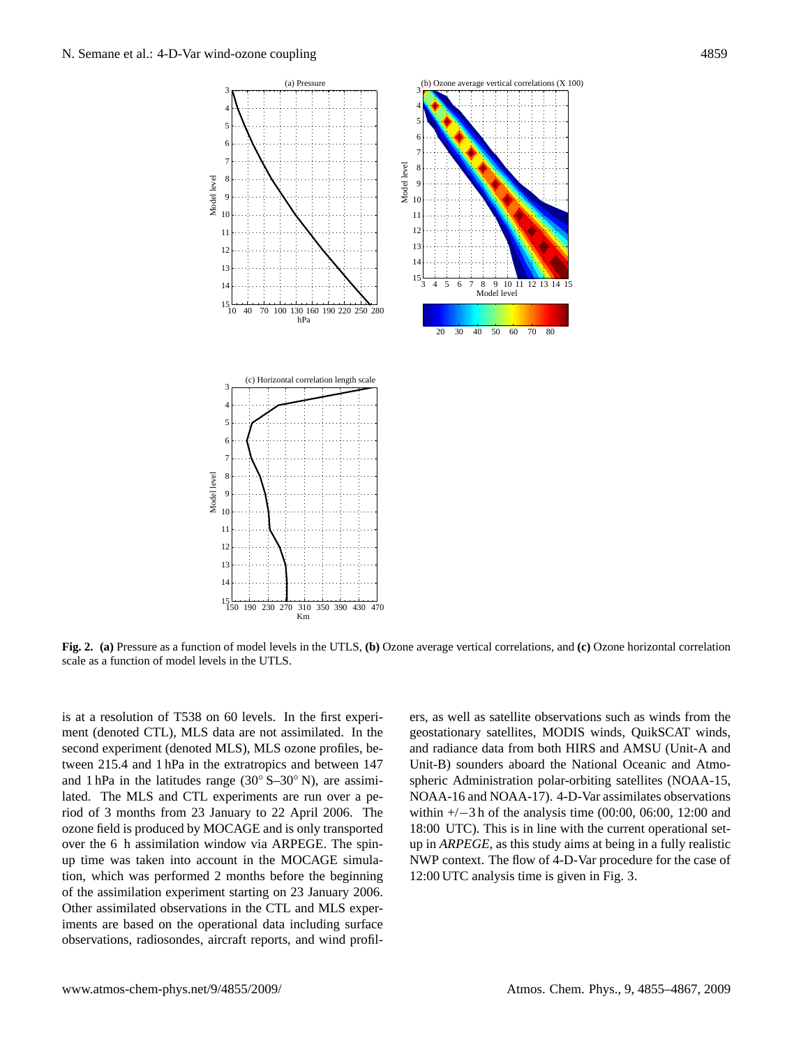

**Fig. 2. (a)** Pressure as a function of model levels in the UTLS, **(b)** Ozone average vertical correlations, and **(c)** Ozone horizontal correlation scale as a function of model levels in the UTLS.

is at a resolution of T538 on 60 levels. In the first experiment (denoted CTL), MLS data are not assimilated. In the second experiment (denoted MLS), MLS ozone profiles, between 215.4 and 1 hPa in the extratropics and between 147 and 1 hPa in the latitudes range  $(30° S-30° N)$ , are assimilated. The MLS and CTL experiments are run over a period of 3 months from 23 January to 22 April 2006. The ozone field is produced by MOCAGE and is only transported over the 6 h assimilation window via ARPEGE. The spinup time was taken into account in the MOCAGE simulation, which was performed 2 months before the beginning of the assimilation experiment starting on 23 January 2006. Other assimilated observations in the CTL and MLS experiments are based on the operational data including surface observations, radiosondes, aircraft reports, and wind profilers, as well as satellite observations such as winds from the geostationary satellites, MODIS winds, QuikSCAT winds, and radiance data from both HIRS and AMSU (Unit-A and Unit-B) sounders aboard the National Oceanic and Atmospheric Administration polar-orbiting satellites (NOAA-15, NOAA-16 and NOAA-17). 4-D-Var assimilates observations within +/−3 h of the analysis time (00:00, 06:00, 12:00 and 18:00 UTC). This is in line with the current operational setup in *ARPEGE*, as this study aims at being in a fully realistic NWP context. The flow of 4-D-Var procedure for the case of 12:00 UTC analysis time is given in Fig. 3.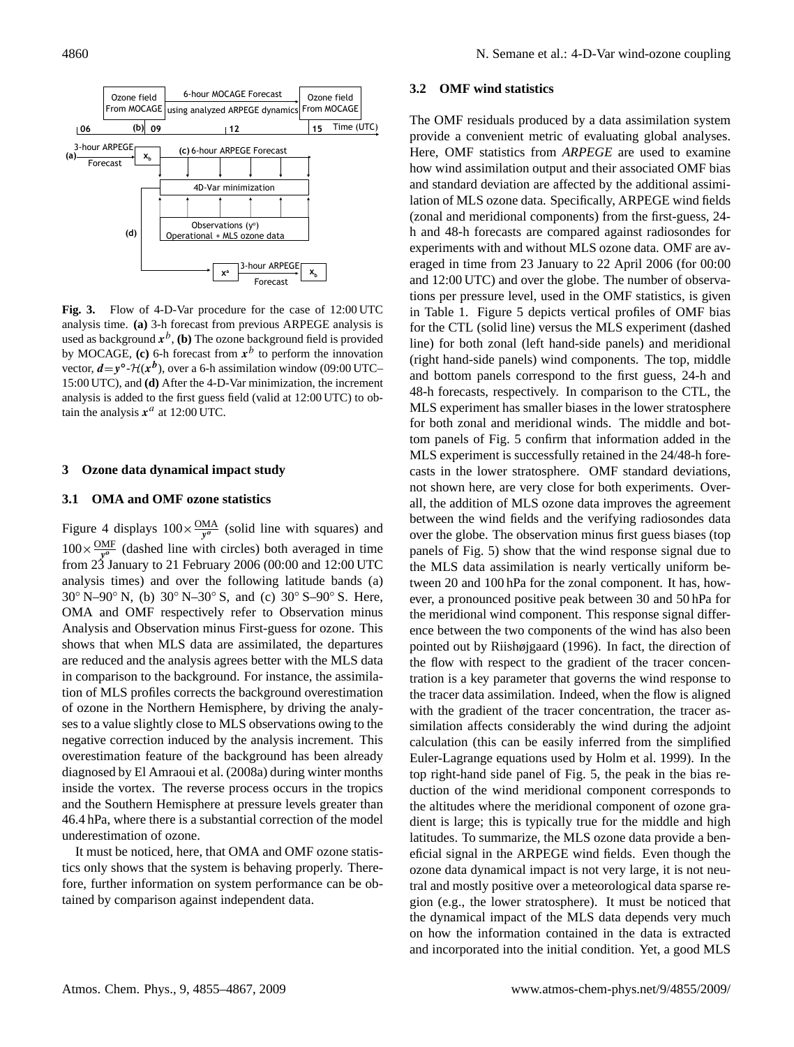

Fig. 3. Flow of 4-D-Var procedure for the case of 12:00 UTC analysis time. **(a)** 3-h forecast from previous ARPEGE analysis is used as background  $x^b$ , (**b**) The ozone background field is provided by MOCAGE,  $(c)$  6-h forecast from  $x^b$  to perform the innovation vector,  $d = y^{\circ}$ - $\mathcal{H}(x^b)$ , over a 6-h assimilation window (09:00 UTC– 15:00 UTC), and **(d)** After the 4-D-Var minimization, the increment analysis is added to the first guess field (valid at 12:00 UTC) to obtain the analysis  $x^a$  at 12:00 UTC.

### **3 Ozone data dynamical impact study**

#### **3.1 OMA and OMF ozone statistics**

Figure 4 displays  $100 \times \frac{OMA}{y^{\theta}}$  (solid line with squares) and  $100 \times \frac{\text{OMF}}{y^{\circ}}$  (dashed line with circles) both averaged in time from 23 January to 21 February 2006 (00:00 and 12:00 UTC analysis times) and over the following latitude bands (a) 30◦ N–90◦ N, (b) 30◦ N–30◦ S, and (c) 30◦ S–90◦ S. Here, OMA and OMF respectively refer to Observation minus Analysis and Observation minus First-guess for ozone. This shows that when MLS data are assimilated, the departures are reduced and the analysis agrees better with the MLS data in comparison to the background. For instance, the assimilation of MLS profiles corrects the background overestimation of ozone in the Northern Hemisphere, by driving the analyses to a value slightly close to MLS observations owing to the negative correction induced by the analysis increment. This overestimation feature of the background has been already diagnosed by [El Amraoui et al.](#page-11-11) [\(2008a\)](#page-11-11) during winter months inside the vortex. The reverse process occurs in the tropics and the Southern Hemisphere at pressure levels greater than 46.4 hPa, where there is a substantial correction of the model underestimation of ozone.

It must be noticed, here, that OMA and OMF ozone statistics only shows that the system is behaving properly. Therefore, further information on system performance can be obtained by comparison against independent data.

#### **3.2 OMF wind statistics**

The OMF residuals produced by a data assimilation system provide a convenient metric of evaluating global analyses. Here, OMF statistics from *ARPEGE* are used to examine how wind assimilation output and their associated OMF bias and standard deviation are affected by the additional assimilation of MLS ozone data. Specifically, ARPEGE wind fields (zonal and meridional components) from the first-guess, 24 h and 48-h forecasts are compared against radiosondes for experiments with and without MLS ozone data. OMF are averaged in time from 23 January to 22 April 2006 (for 00:00 and 12:00 UTC) and over the globe. The number of observations per pressure level, used in the OMF statistics, is given in Table 1. Figure 5 depicts vertical profiles of OMF bias for the CTL (solid line) versus the MLS experiment (dashed line) for both zonal (left hand-side panels) and meridional (right hand-side panels) wind components. The top, middle and bottom panels correspond to the first guess, 24-h and 48-h forecasts, respectively. In comparison to the CTL, the MLS experiment has smaller biases in the lower stratosphere for both zonal and meridional winds. The middle and bottom panels of Fig. 5 confirm that information added in the MLS experiment is successfully retained in the 24/48-h forecasts in the lower stratosphere. OMF standard deviations, not shown here, are very close for both experiments. Overall, the addition of MLS ozone data improves the agreement between the wind fields and the verifying radiosondes data over the globe. The observation minus first guess biases (top panels of Fig. 5) show that the wind response signal due to the MLS data assimilation is nearly vertically uniform between 20 and 100 hPa for the zonal component. It has, however, a pronounced positive peak between 30 and 50 hPa for the meridional wind component. This response signal difference between the two components of the wind has also been pointed out by [Riishøjgaard](#page-12-6) [\(1996\)](#page-12-6). In fact, the direction of the flow with respect to the gradient of the tracer concentration is a key parameter that governs the wind response to the tracer data assimilation. Indeed, when the flow is aligned with the gradient of the tracer concentration, the tracer assimilation affects considerably the wind during the adjoint calculation (this can be easily inferred from the simplified Euler-Lagrange equations used by Holm et al. 1999). In the top right-hand side panel of Fig. 5, the peak in the bias reduction of the wind meridional component corresponds to the altitudes where the meridional component of ozone gradient is large; this is typically true for the middle and high latitudes. To summarize, the MLS ozone data provide a beneficial signal in the ARPEGE wind fields. Even though the ozone data dynamical impact is not very large, it is not neutral and mostly positive over a meteorological data sparse region (e.g., the lower stratosphere). It must be noticed that the dynamical impact of the MLS data depends very much on how the information contained in the data is extracted and incorporated into the initial condition. Yet, a good MLS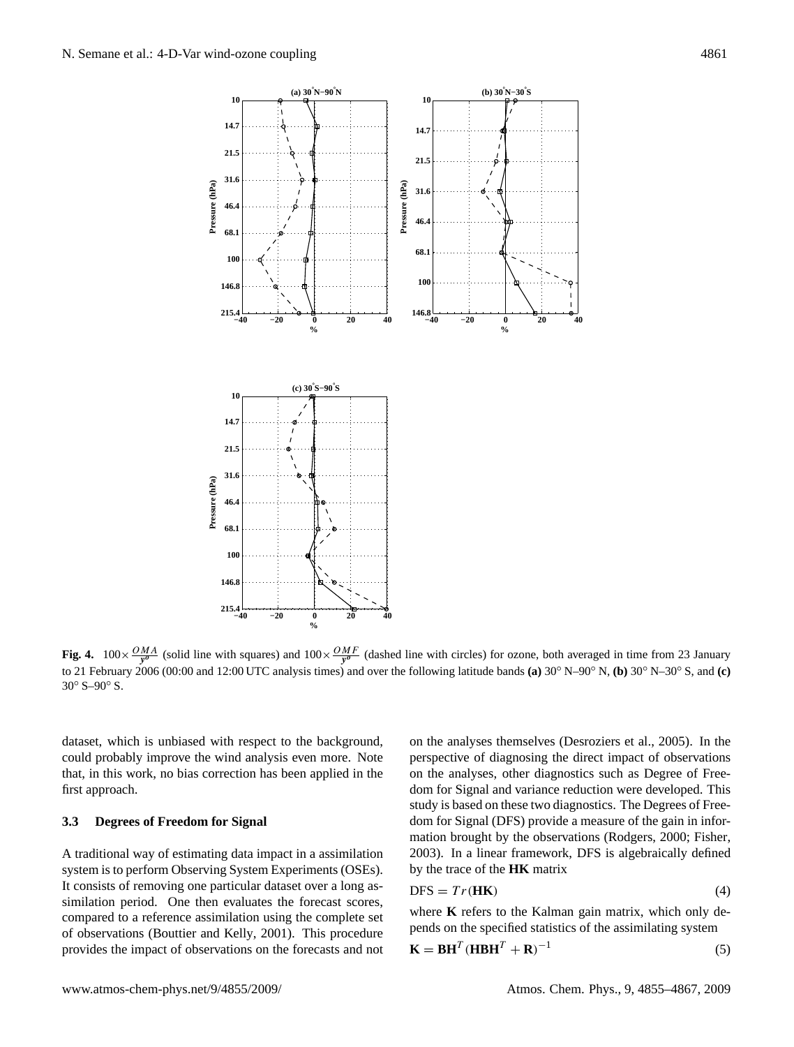

Fig. 4.  $100 \times \frac{OMA}{y^o}$  (solid line with squares) and  $100 \times \frac{OMF}{y^o}$  (dashed line with circles) for ozone, both averaged in time from 23 January to 21 February 2006 (00:00 and 12:00 UTC analysis times) and over the following latitude bands **(a)** 30◦ N–90◦ N, **(b)** 30◦ N–30◦ S, and **(c)** 30° S–90° S.

dataset, which is unbiased with respect to the background, could probably improve the wind analysis even more. Note that, in this work, no bias correction has been applied in the first approach.

## **3.3 Degrees of Freedom for Signal**

A traditional way of estimating data impact in a assimilation system is to perform Observing System Experiments (OSEs). It consists of removing one particular dataset over a long assimilation period. One then evaluates the forecast scores, compared to a reference assimilation using the complete set of observations [\(Bouttier and Kelly,](#page-11-16) [2001\)](#page-11-16). This procedure provides the impact of observations on the forecasts and not on the analyses themselves [\(Desroziers et al.,](#page-11-7) [2005\)](#page-11-7). In the perspective of diagnosing the direct impact of observations on the analyses, other diagnostics such as Degree of Freedom for Signal and variance reduction were developed. This study is based on these two diagnostics. The Degrees of Freedom for Signal (DFS) provide a measure of the gain in information brought by the observations [\(Rodgers,](#page-12-19) [2000;](#page-12-19) [Fisher,](#page-11-17) [2003\)](#page-11-17). In a linear framework, DFS is algebraically defined by the trace of the **HK** matrix

$$
DFS = Tr(\mathbf{HK}) \tag{4}
$$

where **K** refers to the Kalman gain matrix, which only depends on the specified statistics of the assimilating system

$$
\mathbf{K} = \mathbf{B}\mathbf{H}^T (\mathbf{H}\mathbf{B}\mathbf{H}^T + \mathbf{R})^{-1}
$$
 (5)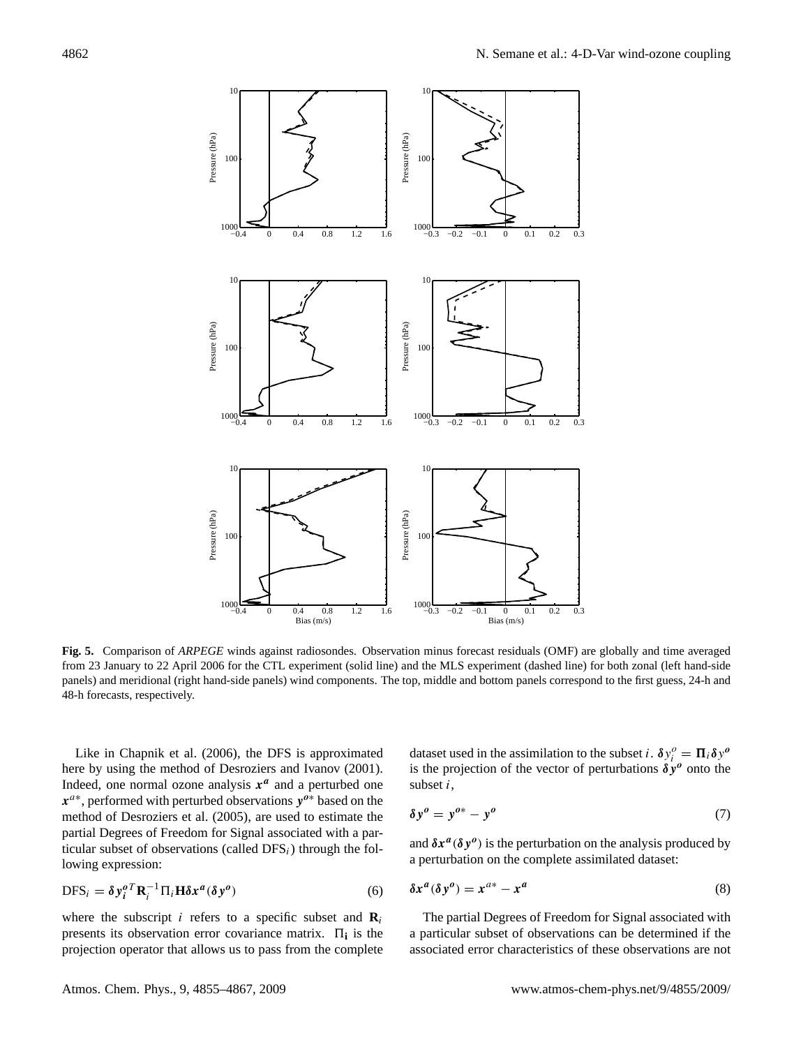

**Fig. 5.** Comparison of *ARPEGE* winds against radiosondes. Observation minus forecast residuals (OMF) are globally and time averaged from 23 January to 22 April 2006 for the CTL experiment (solid line) and the MLS experiment (dashed line) for both zonal (left hand-side panels) and meridional (right hand-side panels) wind components. The top, middle and bottom panels correspond to the first guess, 24-h and 48-h forecasts, respectively.

Like in [Chapnik et al.](#page-11-18) [\(2006\)](#page-11-18), the DFS is approximated here by using the method of [Desroziers and Ivanov](#page-11-19) [\(2001\)](#page-11-19). Indeed, one normal ozone analysis  $x^a$  and a perturbed one  $x^{a*}$ , performed with perturbed observations  $y^{a*}$  based on the method of [Desroziers et al.](#page-11-7) [\(2005\)](#page-11-7), are used to estimate the partial Degrees of Freedom for Signal associated with a particular subset of observations (called  $DFS<sub>i</sub>$ ) through the following expression:

$$
DFS_i = \delta y_i^o{}^T \mathbf{R}_i^{-1} \Pi_i \mathbf{H} \delta x^a (\delta y^o)
$$
 (6)

where the subscript *i* refers to a specific subset and  $\mathbf{R}_i$ presents its observation error covariance matrix.  $\Pi_i$  is the projection operator that allows us to pass from the complete

dataset used in the assimilation to the subset *i*.  $\delta y_i^o = \Pi_i \delta y^o$ is the projection of the vector of perturbations  $\delta y^{\theta}$  onto the subset  $i$ ,

$$
\delta y^o = y^{o*} - y^o \tag{7}
$$

and  $\delta x^a(\delta y^o)$  is the perturbation on the analysis produced by a perturbation on the complete assimilated dataset:

$$
\delta x^a (\delta y^o) = x^{a*} - x^a \tag{8}
$$

The partial Degrees of Freedom for Signal associated with a particular subset of observations can be determined if the associated error characteristics of these observations are not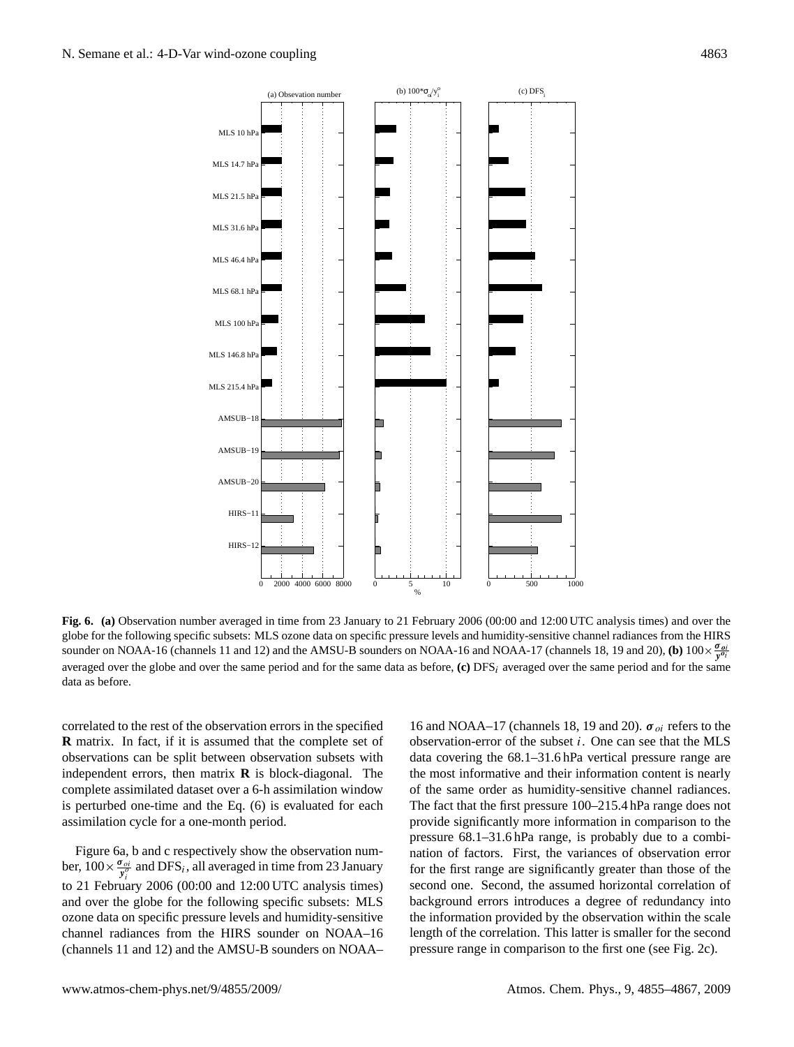

**Fig. 6. (a)** Observation number averaged in time from 23 January to 21 February 2006 (00:00 and 12:00 UTC analysis times) and over the globe for the following specific subsets: MLS ozone data on specific pressure levels and humidity-sensitive channel radiances from the HIRS sounder on NOAA-16 (channels 11 and 12) and the AMSU-B sounders on NOAA-16 and NOAA-17 (channels 18, 19 and 20), (b)  $100 \times \frac{\sigma_{oj}}{y^{\theta_i}}$ averaged over the globe and over the same period and for the same data as before,  $(c)$  DFS<sub>i</sub> averaged over the same period and for the same data as before.

correlated to the rest of the observation errors in the specified **R** matrix. In fact, if it is assumed that the complete set of observations can be split between observation subsets with independent errors, then matrix **R** is block-diagonal. The complete assimilated dataset over a 6-h assimilation window is perturbed one-time and the Eq. (6) is evaluated for each assimilation cycle for a one-month period.

Figure 6a, b and c respectively show the observation number,  $100 \times \frac{\sigma_{oi}}{y_i^o}$  and DFS<sub>i</sub>, all averaged in time from 23 January to 21 February 2006 (00:00 and 12:00 UTC analysis times) and over the globe for the following specific subsets: MLS ozone data on specific pressure levels and humidity-sensitive channel radiances from the HIRS sounder on NOAA–16 (channels 11 and 12) and the AMSU-B sounders on NOAA–

16 and NOAA–17 (channels 18, 19 and 20).  $\sigma_{oi}$  refers to the observation-error of the subset i. One can see that the MLS data covering the 68.1–31.6 hPa vertical pressure range are the most informative and their information content is nearly of the same order as humidity-sensitive channel radiances. The fact that the first pressure 100–215.4 hPa range does not provide significantly more information in comparison to the pressure 68.1–31.6 hPa range, is probably due to a combination of factors. First, the variances of observation error for the first range are significantly greater than those of the second one. Second, the assumed horizontal correlation of background errors introduces a degree of redundancy into the information provided by the observation within the scale length of the correlation. This latter is smaller for the second pressure range in comparison to the first one (see Fig. 2c).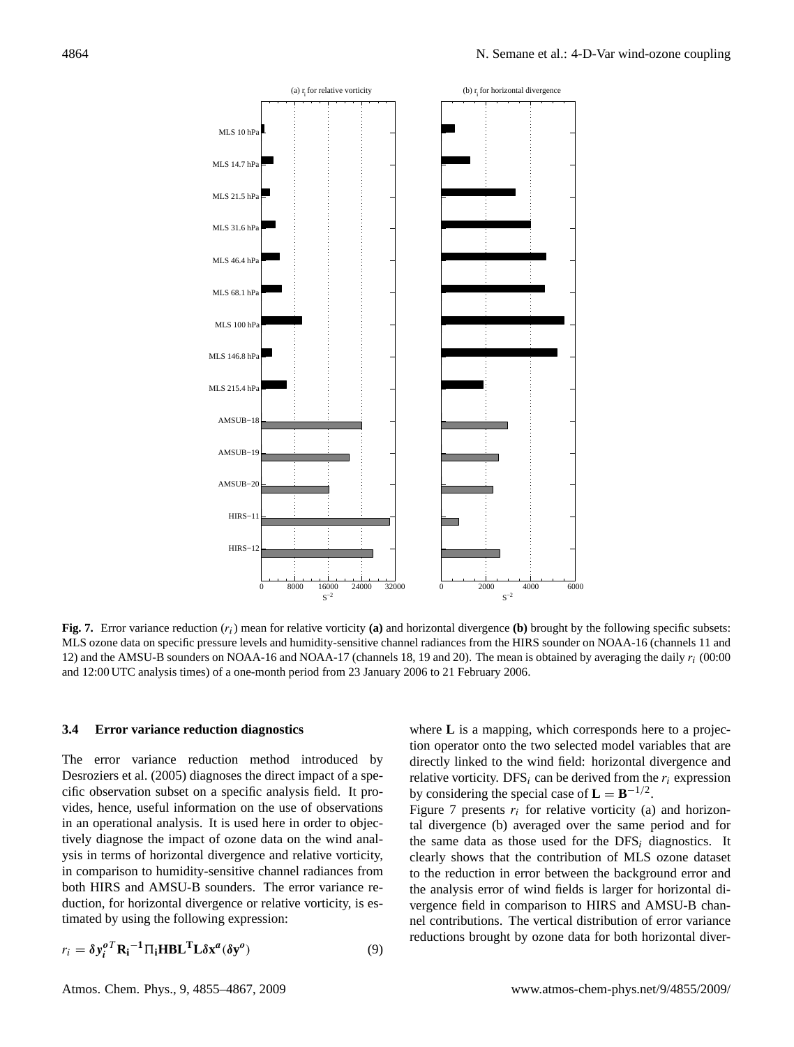

**Fig. 7.** Error variance reduction  $(r_i)$  mean for relative vorticity (a) and horizontal divergence (b) brought by the following specific subsets: MLS ozone data on specific pressure levels and humidity-sensitive channel radiances from the HIRS sounder on NOAA-16 (channels 11 and 12) and the AMSU-B sounders on NOAA-16 and NOAA-17 (channels 18, 19 and 20). The mean is obtained by averaging the daily  $r_i$  (00:00) and 12:00 UTC analysis times) of a one-month period from 23 January 2006 to 21 February 2006.

#### **3.4 Error variance reduction diagnostics**

The error variance reduction method introduced by [Desroziers et al.](#page-11-7) [\(2005\)](#page-11-7) diagnoses the direct impact of a specific observation subset on a specific analysis field. It provides, hence, useful information on the use of observations in an operational analysis. It is used here in order to objectively diagnose the impact of ozone data on the wind analysis in terms of horizontal divergence and relative vorticity, in comparison to humidity-sensitive channel radiances from both HIRS and AMSU-B sounders. The error variance reduction, for horizontal divergence or relative vorticity, is estimated by using the following expression:

$$
r_i = \delta y_i^o{}^T \mathbf{R_i}^{-1} \Pi_i \mathbf{H} \mathbf{B} \mathbf{L}^T \mathbf{L} \delta \mathbf{x}^a (\delta \mathbf{y}^o)
$$
 (9)

where **L** is a mapping, which corresponds here to a projection operator onto the two selected model variables that are directly linked to the wind field: horizontal divergence and relative vorticity. DFS<sub>i</sub> can be derived from the  $r_i$  expression by considering the special case of  $\mathbf{L} = \mathbf{B}^{-1/2}$ .

Figure 7 presents  $r_i$  for relative vorticity (a) and horizontal divergence (b) averaged over the same period and for the same data as those used for the  $DFS<sub>i</sub>$  diagnostics. It clearly shows that the contribution of MLS ozone dataset to the reduction in error between the background error and the analysis error of wind fields is larger for horizontal divergence field in comparison to HIRS and AMSU-B channel contributions. The vertical distribution of error variance reductions brought by ozone data for both horizontal diver-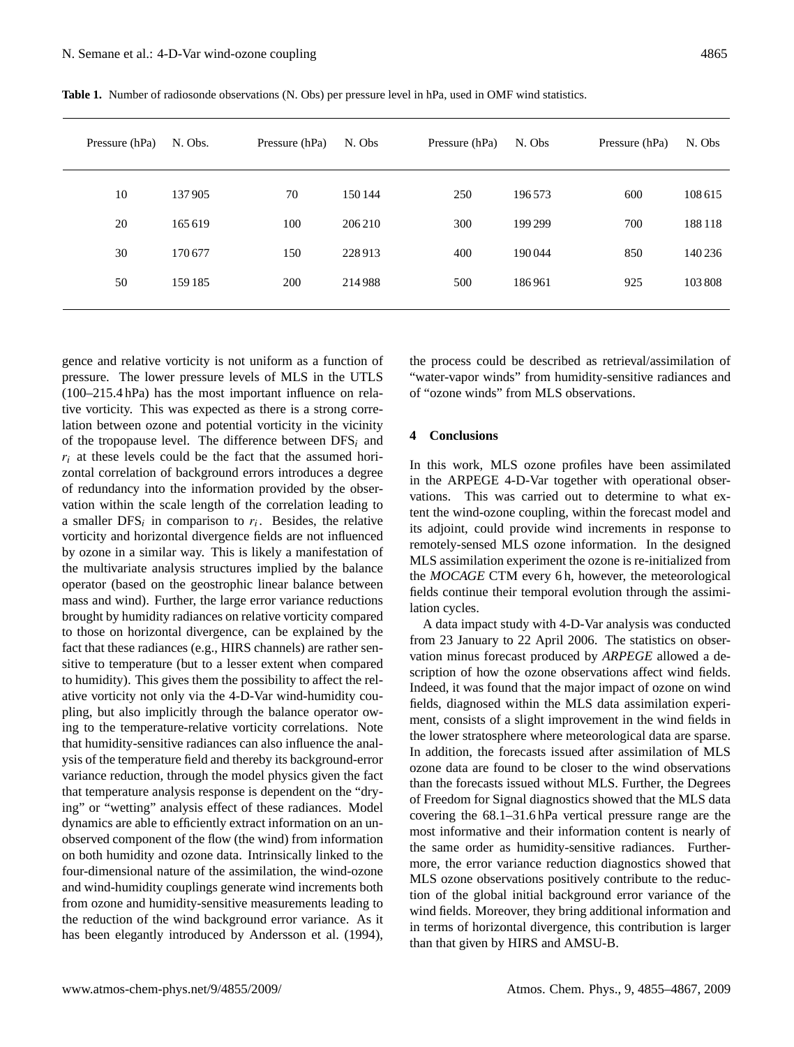| Pressure (hPa) | N. Obs. | Pressure (hPa) | N. Obs  | Pressure (hPa) | N. Obs  | Pressure (hPa) | N. Obs |
|----------------|---------|----------------|---------|----------------|---------|----------------|--------|
| 10             | 137905  | 70             | 150 144 | 250            | 196573  | 600            | 108615 |
| 20             | 165 619 | 100            | 206210  | 300            | 199 299 | 700            | 188118 |
| 30             | 170677  | 150            | 228913  | 400            | 190044  | 850            | 140236 |
| 50             | 159 185 | 200            | 214988  | 500            | 186961  | 925            | 103808 |
|                |         |                |         |                |         |                |        |

**Table 1.** Number of radiosonde observations (N. Obs) per pressure level in hPa, used in OMF wind statistics.

gence and relative vorticity is not uniform as a function of pressure. The lower pressure levels of MLS in the UTLS (100–215.4 hPa) has the most important influence on relative vorticity. This was expected as there is a strong correlation between ozone and potential vorticity in the vicinity of the tropopause level. The difference between  $DFS<sub>i</sub>$  and  $r_i$  at these levels could be the fact that the assumed horizontal correlation of background errors introduces a degree of redundancy into the information provided by the observation within the scale length of the correlation leading to a smaller  $DFS_i$  in comparison to  $r_i$ . Besides, the relative vorticity and horizontal divergence fields are not influenced by ozone in a similar way. This is likely a manifestation of the multivariate analysis structures implied by the balance operator (based on the geostrophic linear balance between mass and wind). Further, the large error variance reductions brought by humidity radiances on relative vorticity compared to those on horizontal divergence, can be explained by the fact that these radiances (e.g., HIRS channels) are rather sensitive to temperature (but to a lesser extent when compared to humidity). This gives them the possibility to affect the relative vorticity not only via the 4-D-Var wind-humidity coupling, but also implicitly through the balance operator owing to the temperature-relative vorticity correlations. Note that humidity-sensitive radiances can also influence the analysis of the temperature field and thereby its background-error variance reduction, through the model physics given the fact that temperature analysis response is dependent on the "drying" or "wetting" analysis effect of these radiances. Model dynamics are able to efficiently extract information on an unobserved component of the flow (the wind) from information on both humidity and ozone data. Intrinsically linked to the four-dimensional nature of the assimilation, the wind-ozone and wind-humidity couplings generate wind increments both from ozone and humidity-sensitive measurements leading to the reduction of the wind background error variance. As it has been elegantly introduced by [Andersson et al.](#page-11-0) [\(1994\)](#page-11-0),

the process could be described as retrieval/assimilation of "water-vapor winds" from humidity-sensitive radiances and of "ozone winds" from MLS observations.

#### **4 Conclusions**

In this work, MLS ozone profiles have been assimilated in the ARPEGE 4-D-Var together with operational observations. This was carried out to determine to what extent the wind-ozone coupling, within the forecast model and its adjoint, could provide wind increments in response to remotely-sensed MLS ozone information. In the designed MLS assimilation experiment the ozone is re-initialized from the *MOCAGE* CTM every 6 h, however, the meteorological fields continue their temporal evolution through the assimilation cycles.

A data impact study with 4-D-Var analysis was conducted from 23 January to 22 April 2006. The statistics on observation minus forecast produced by *ARPEGE* allowed a description of how the ozone observations affect wind fields. Indeed, it was found that the major impact of ozone on wind fields, diagnosed within the MLS data assimilation experiment, consists of a slight improvement in the wind fields in the lower stratosphere where meteorological data are sparse. In addition, the forecasts issued after assimilation of MLS ozone data are found to be closer to the wind observations than the forecasts issued without MLS. Further, the Degrees of Freedom for Signal diagnostics showed that the MLS data covering the 68.1–31.6 hPa vertical pressure range are the most informative and their information content is nearly of the same order as humidity-sensitive radiances. Furthermore, the error variance reduction diagnostics showed that MLS ozone observations positively contribute to the reduction of the global initial background error variance of the wind fields. Moreover, they bring additional information and in terms of horizontal divergence, this contribution is larger than that given by HIRS and AMSU-B.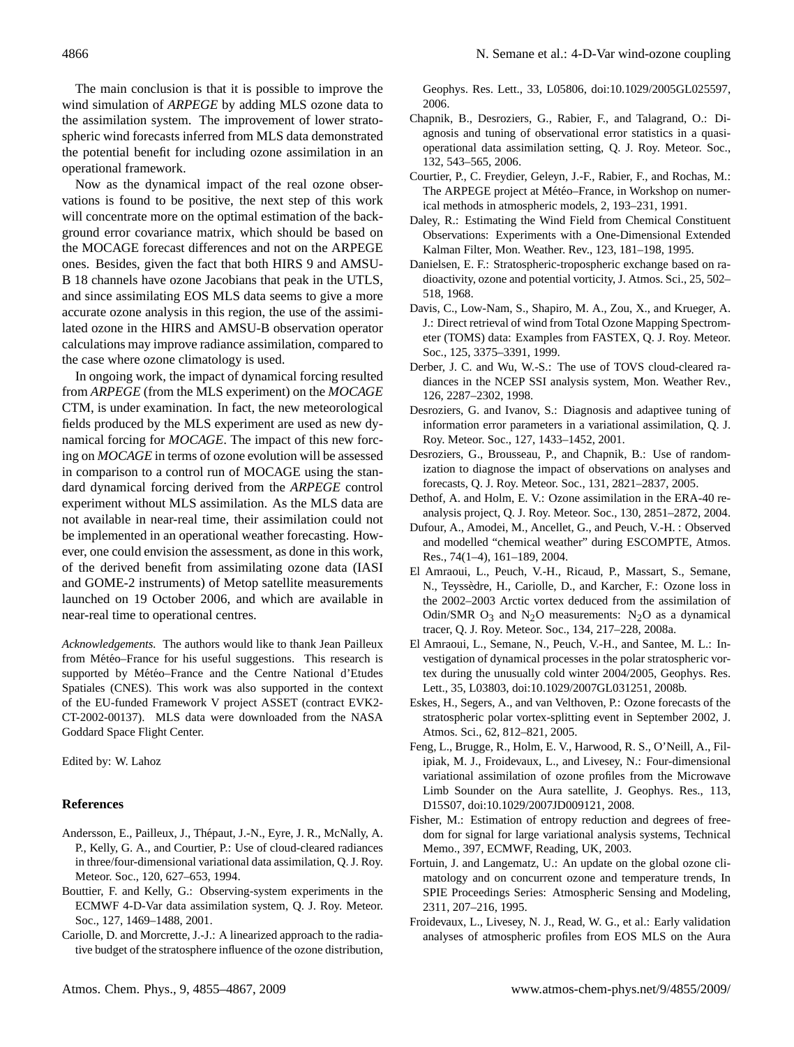The main conclusion is that it is possible to improve the wind simulation of *ARPEGE* by adding MLS ozone data to the assimilation system. The improvement of lower stratospheric wind forecasts inferred from MLS data demonstrated the potential benefit for including ozone assimilation in an operational framework.

Now as the dynamical impact of the real ozone observations is found to be positive, the next step of this work will concentrate more on the optimal estimation of the background error covariance matrix, which should be based on the MOCAGE forecast differences and not on the ARPEGE ones. Besides, given the fact that both HIRS 9 and AMSU-B 18 channels have ozone Jacobians that peak in the UTLS, and since assimilating EOS MLS data seems to give a more accurate ozone analysis in this region, the use of the assimilated ozone in the HIRS and AMSU-B observation operator calculations may improve radiance assimilation, compared to the case where ozone climatology is used.

In ongoing work, the impact of dynamical forcing resulted from *ARPEGE* (from the MLS experiment) on the *MOCAGE* CTM, is under examination. In fact, the new meteorological fields produced by the MLS experiment are used as new dynamical forcing for *MOCAGE*. The impact of this new forcing on *MOCAGE* in terms of ozone evolution will be assessed in comparison to a control run of MOCAGE using the standard dynamical forcing derived from the *ARPEGE* control experiment without MLS assimilation. As the MLS data are not available in near-real time, their assimilation could not be implemented in an operational weather forecasting. However, one could envision the assessment, as done in this work, of the derived benefit from assimilating ozone data (IASI and GOME-2 instruments) of Metop satellite measurements launched on 19 October 2006, and which are available in near-real time to operational centres.

*Acknowledgements.* The authors would like to thank Jean Pailleux from Météo–France for his useful suggestions. This research is supported by Météo–France and the Centre National d'Etudes Spatiales (CNES). This work was also supported in the context of the EU-funded Framework V project ASSET (contract EVK2- CT-2002-00137). MLS data were downloaded from the NASA Goddard Space Flight Center.

Edited by: W. Lahoz

#### **References**

- <span id="page-11-0"></span>Andersson, E., Pailleux, J., Thepaut, J.-N., Eyre, J. R., McNally, A. ´ P., Kelly, G. A., and Courtier, P.: Use of cloud-cleared radiances in three/four-dimensional variational data assimilation, Q. J. Roy. Meteor. Soc., 120, 627–653, 1994.
- <span id="page-11-16"></span>Bouttier, F. and Kelly, G.: Observing-system experiments in the ECMWF 4-D-Var data assimilation system, Q. J. Roy. Meteor. Soc., 127, 1469–1488, 2001.
- <span id="page-11-2"></span>Cariolle, D. and Morcrette, J.-J.: A linearized approach to the radiative budget of the stratosphere influence of the ozone distribution,

Geophys. Res. Lett., 33, L05806, doi:10.1029/2005GL025597, 2006.

- <span id="page-11-18"></span>Chapnik, B., Desroziers, G., Rabier, F., and Talagrand, O.: Diagnosis and tuning of observational error statistics in a quasioperational data assimilation setting, Q. J. Roy. Meteor. Soc., 132, 543–565, 2006.
- <span id="page-11-13"></span>Courtier, P., C. Freydier, Geleyn, J.-F., Rabier, F., and Rochas, M.: The ARPEGE project at Météo–France, in Workshop on numerical methods in atmospheric models, 2, 193–231, 1991.
- <span id="page-11-6"></span>Daley, R.: Estimating the Wind Field from Chemical Constituent Observations: Experiments with a One-Dimensional Extended Kalman Filter, Mon. Weather. Rev., 123, 181–198, 1995.
- <span id="page-11-4"></span>Danielsen, E. F.: Stratospheric-tropospheric exchange based on radioactivity, ozone and potential vorticity, J. Atmos. Sci., 25, 502– 518, 1968.
- <span id="page-11-5"></span>Davis, C., Low-Nam, S., Shapiro, M. A., Zou, X., and Krueger, A. J.: Direct retrieval of wind from Total Ozone Mapping Spectrometer (TOMS) data: Examples from FASTEX, Q. J. Roy. Meteor. Soc., 125, 3375–3391, 1999.
- <span id="page-11-3"></span>Derber, J. C. and Wu, W.-S.: The use of TOVS cloud-cleared radiances in the NCEP SSI analysis system, Mon. Weather Rev., 126, 2287–2302, 1998.
- <span id="page-11-19"></span>Desroziers, G. and Ivanov, S.: Diagnosis and adaptivee tuning of information error parameters in a variational assimilation, Q. J. Roy. Meteor. Soc., 127, 1433–1452, 2001.
- <span id="page-11-7"></span>Desroziers, G., Brousseau, P., and Chapnik, B.: Use of randomization to diagnose the impact of observations on analyses and forecasts, Q. J. Roy. Meteor. Soc., 131, 2821–2837, 2005.
- <span id="page-11-14"></span>Dethof, A. and Holm, E. V.: Ozone assimilation in the ERA-40 reanalysis project, Q. J. Roy. Meteor. Soc., 130, 2851–2872, 2004.
- <span id="page-11-10"></span>Dufour, A., Amodei, M., Ancellet, G., and Peuch, V.-H. : Observed and modelled "chemical weather" during ESCOMPTE, Atmos. Res., 74(1–4), 161–189, 2004.
- <span id="page-11-11"></span>El Amraoui, L., Peuch, V.-H., Ricaud, P., Massart, S., Semane, N., Teyssedre, H., Cariolle, D., and Karcher, F.: Ozone loss in ` the 2002–2003 Arctic vortex deduced from the assimilation of Odin/SMR  $O_3$  and N<sub>2</sub>O measurements: N<sub>2</sub>O as a dynamical tracer, Q. J. Roy. Meteor. Soc., 134, 217–228, 2008a.
- <span id="page-11-12"></span>El Amraoui, L., Semane, N., Peuch, V.-H., and Santee, M. L.: Investigation of dynamical processes in the polar stratospheric vortex during the unusually cold winter 2004/2005, Geophys. Res. Lett., 35, L03803, doi:10.1029/2007GL031251, 2008b.
- <span id="page-11-1"></span>Eskes, H., Segers, A., and van Velthoven, P.: Ozone forecasts of the stratospheric polar vortex-splitting event in September 2002, J. Atmos. Sci., 62, 812–821, 2005.
- <span id="page-11-9"></span>Feng, L., Brugge, R., Holm, E. V., Harwood, R. S., O'Neill, A., Filipiak, M. J., Froidevaux, L., and Livesey, N.: Four-dimensional variational assimilation of ozone profiles from the Microwave Limb Sounder on the Aura satellite, J. Geophys. Res., 113, D15S07, doi:10.1029/2007JD009121, 2008.
- <span id="page-11-17"></span>Fisher, M.: Estimation of entropy reduction and degrees of freedom for signal for large variational analysis systems, Technical Memo., 397, ECMWF, Reading, UK, 2003.
- <span id="page-11-15"></span>Fortuin, J. and Langematz, U.: An update on the global ozone climatology and on concurrent ozone and temperature trends, In SPIE Proceedings Series: Atmospheric Sensing and Modeling, 2311, 207–216, 1995.
- <span id="page-11-8"></span>Froidevaux, L., Livesey, N. J., Read, W. G., et al.: Early validation analyses of atmospheric profiles from EOS MLS on the Aura